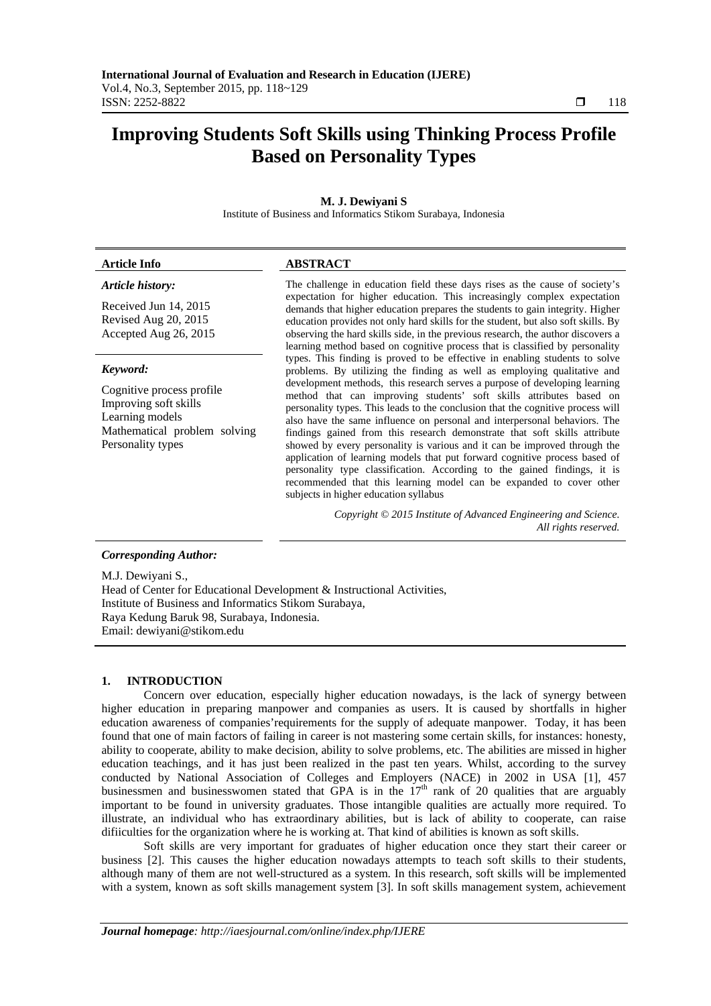# **Improving Students Soft Skills using Thinking Process Profile Based on Personality Types**

# **M. J. Dewiyani S**

Institute of Business and Informatics Stikom Surabaya, Indonesia

### **Article Info ABSTRACT**

### *Article history:*

Received Jun 14, 2015 Revised Aug 20, 2015 Accepted Aug 26, 2015

# *Keyword:*

Cognitive process profile Improving soft skills Learning models Mathematical problem solving Personality types

The challenge in education field these days rises as the cause of society's expectation for higher education. This increasingly complex expectation demands that higher education prepares the students to gain integrity. Higher education provides not only hard skills for the student, but also soft skills. By observing the hard skills side, in the previous research, the author discovers a learning method based on cognitive process that is classified by personality types. This finding is proved to be effective in enabling students to solve problems. By utilizing the finding as well as employing qualitative and development methods, this research serves a purpose of developing learning method that can improving students' soft skills attributes based on personality types. This leads to the conclusion that the cognitive process will also have the same influence on personal and interpersonal behaviors. The findings gained from this research demonstrate that soft skills attribute showed by every personality is various and it can be improved through the application of learning models that put forward cognitive process based of personality type classification. According to the gained findings, it is recommended that this learning model can be expanded to cover other subjects in higher education syllabus

> *Copyright © 2015 Institute of Advanced Engineering and Science. All rights reserved.*

# *Corresponding Author:*

M.J. Dewiyani S., Head of Center for Educational Development & Instructional Activities, Institute of Business and Informatics Stikom Surabaya, Raya Kedung Baruk 98, Surabaya, Indonesia. Email: dewiyani@stikom.edu

# **1. INTRODUCTION**

Concern over education, especially higher education nowadays, is the lack of synergy between higher education in preparing manpower and companies as users. It is caused by shortfalls in higher education awareness of companies'requirements for the supply of adequate manpower. Today, it has been found that one of main factors of failing in career is not mastering some certain skills, for instances: honesty, ability to cooperate, ability to make decision, ability to solve problems, etc. The abilities are missed in higher education teachings, and it has just been realized in the past ten years. Whilst, according to the survey conducted by National Association of Colleges and Employers (NACE) in 2002 in USA [1], 457 businessmen and businesswomen stated that GPA is in the  $17<sup>th</sup>$  rank of 20 qualities that are arguably important to be found in university graduates. Those intangible qualities are actually more required. To illustrate, an individual who has extraordinary abilities, but is lack of ability to cooperate, can raise difiiculties for the organization where he is working at. That kind of abilities is known as soft skills.

Soft skills are very important for graduates of higher education once they start their career or business [2]. This causes the higher education nowadays attempts to teach soft skills to their students, although many of them are not well-structured as a system. In this research, soft skills will be implemented with a system, known as soft skills management system [3]. In soft skills management system, achievement

ֺֺ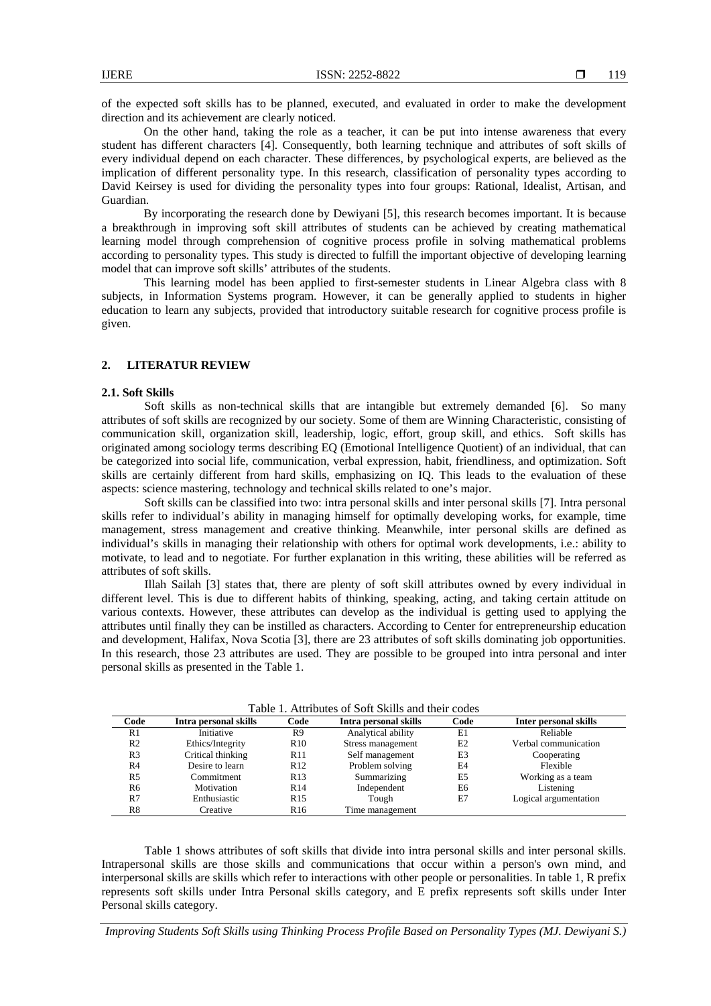of the expected soft skills has to be planned, executed, and evaluated in order to make the development direction and its achievement are clearly noticed.

On the other hand, taking the role as a teacher, it can be put into intense awareness that every student has different characters [4]. Consequently, both learning technique and attributes of soft skills of every individual depend on each character. These differences, by psychological experts, are believed as the implication of different personality type. In this research, classification of personality types according to David Keirsey is used for dividing the personality types into four groups: Rational, Idealist, Artisan, and Guardian.

By incorporating the research done by Dewiyani [5], this research becomes important. It is because a breakthrough in improving soft skill attributes of students can be achieved by creating mathematical learning model through comprehension of cognitive process profile in solving mathematical problems according to personality types. This study is directed to fulfill the important objective of developing learning model that can improve soft skills' attributes of the students.

This learning model has been applied to first-semester students in Linear Algebra class with 8 subjects, in Information Systems program. However, it can be generally applied to students in higher education to learn any subjects, provided that introductory suitable research for cognitive process profile is given.

### **2. LITERATUR REVIEW**

#### **2.1. Soft Skills**

Soft skills as non-technical skills that are intangible but extremely demanded [6]. So many attributes of soft skills are recognized by our society. Some of them are Winning Characteristic, consisting of communication skill, organization skill, leadership, logic, effort, group skill, and ethics. Soft skills has originated among sociology terms describing EQ (Emotional Intelligence Quotient) of an individual, that can be categorized into social life, communication, verbal expression, habit, friendliness, and optimization. Soft skills are certainly different from hard skills, emphasizing on IQ. This leads to the evaluation of these aspects: science mastering, technology and technical skills related to one's major.

Soft skills can be classified into two: intra personal skills and inter personal skills [7]. Intra personal skills refer to individual's ability in managing himself for optimally developing works, for example, time management, stress management and creative thinking. Meanwhile, inter personal skills are defined as individual's skills in managing their relationship with others for optimal work developments, i.e.: ability to motivate, to lead and to negotiate. For further explanation in this writing, these abilities will be referred as attributes of soft skills.

Illah Sailah [3] states that, there are plenty of soft skill attributes owned by every individual in different level. This is due to different habits of thinking, speaking, acting, and taking certain attitude on various contexts. However, these attributes can develop as the individual is getting used to applying the attributes until finally they can be instilled as characters. According to Center for entrepreneurship education and development, Halifax, Nova Scotia [3], there are 23 attributes of soft skills dominating job opportunities. In this research, those 23 attributes are used. They are possible to be grouped into intra personal and inter personal skills as presented in the Table 1.

| I abie 1. Auflouies of Bolt Brills and their coues |                       |                 |                       |                |                       |  |  |  |  |  |  |  |
|----------------------------------------------------|-----------------------|-----------------|-----------------------|----------------|-----------------------|--|--|--|--|--|--|--|
| Code                                               | Intra personal skills | Code            | Intra personal skills | Code           | Inter personal skills |  |  |  |  |  |  |  |
| R1                                                 | Initiative            | R9              | Analytical ability    | E1             | Reliable              |  |  |  |  |  |  |  |
| R <sub>2</sub>                                     | Ethics/Integrity      | R <sub>10</sub> | Stress management     | E <sub>2</sub> | Verbal communication  |  |  |  |  |  |  |  |
| R <sub>3</sub>                                     | Critical thinking     | R <sub>11</sub> | Self management       | E3             | Cooperating           |  |  |  |  |  |  |  |
| R4                                                 | Desire to learn       | R12             | Problem solving       | E4             | Flexible              |  |  |  |  |  |  |  |
| R <sub>5</sub>                                     | Commitment            | R <sub>13</sub> | Summarizing           | E5             | Working as a team     |  |  |  |  |  |  |  |
| R6                                                 | Motivation            | <b>R14</b>      | Independent           | E6             | Listening             |  |  |  |  |  |  |  |
| R7                                                 | Enthusiastic          | R <sub>15</sub> | Tough                 | E7             | Logical argumentation |  |  |  |  |  |  |  |
| R8                                                 | Creative              | R <sub>16</sub> | Time management       |                |                       |  |  |  |  |  |  |  |

Table 1. Attributes of Soft Skills and their codes

Table 1 shows attributes of soft skills that divide into intra personal skills and inter personal skills. Intrapersonal skills are those skills and communications that occur within a person's own mind, and interpersonal skills are skills which refer to interactions with other people or personalities. In table 1, R prefix represents soft skills under Intra Personal skills category, and E prefix represents soft skills under Inter Personal skills category.

*Improving Students Soft Skills using Thinking Process Profile Based on Personality Types (MJ. Dewiyani S.)*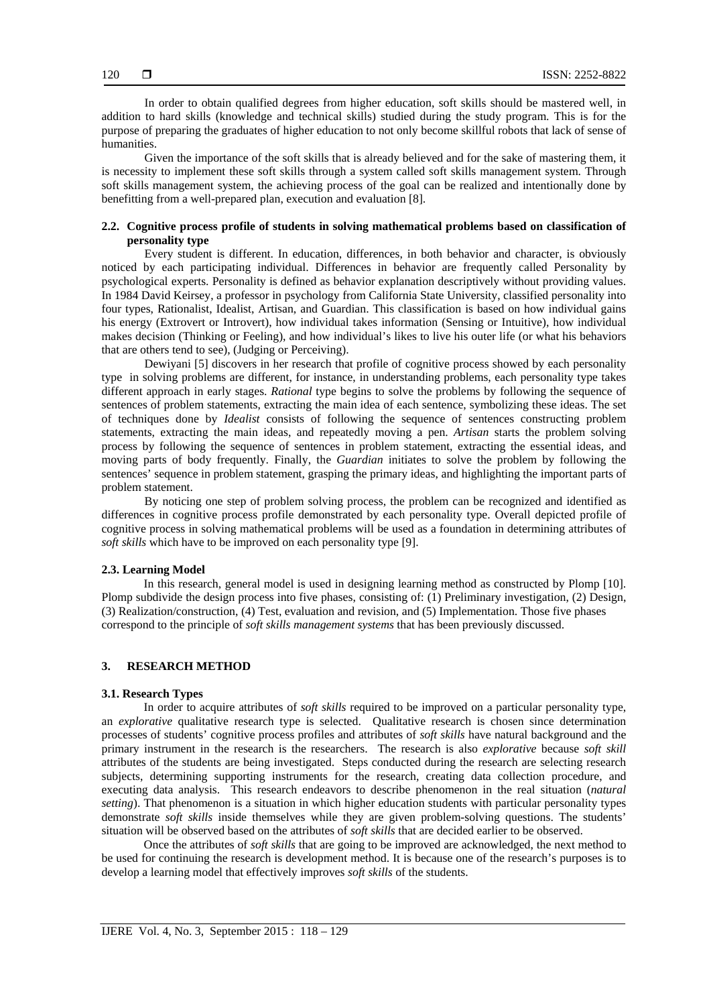In order to obtain qualified degrees from higher education, soft skills should be mastered well, in addition to hard skills (knowledge and technical skills) studied during the study program. This is for the purpose of preparing the graduates of higher education to not only become skillful robots that lack of sense of humanities.

Given the importance of the soft skills that is already believed and for the sake of mastering them, it is necessity to implement these soft skills through a system called soft skills management system. Through soft skills management system, the achieving process of the goal can be realized and intentionally done by benefitting from a well-prepared plan, execution and evaluation [8].

# **2.2. Cognitive process profile of students in solving mathematical problems based on classification of personality type**

Every student is different. In education, differences, in both behavior and character, is obviously noticed by each participating individual. Differences in behavior are frequently called Personality by psychological experts. Personality is defined as behavior explanation descriptively without providing values. In 1984 David Keirsey, a professor in psychology from California State University, classified personality into four types, Rationalist, Idealist, Artisan, and Guardian. This classification is based on how individual gains his energy (Extrovert or Introvert), how individual takes information (Sensing or Intuitive), how individual makes decision (Thinking or Feeling), and how individual's likes to live his outer life (or what his behaviors that are others tend to see), (Judging or Perceiving).

Dewiyani [5] discovers in her research that profile of cognitive process showed by each personality type in solving problems are different, for instance, in understanding problems, each personality type takes different approach in early stages. *Rational* type begins to solve the problems by following the sequence of sentences of problem statements, extracting the main idea of each sentence, symbolizing these ideas. The set of techniques done by *Idealist* consists of following the sequence of sentences constructing problem statements, extracting the main ideas, and repeatedly moving a pen. *Artisan* starts the problem solving process by following the sequence of sentences in problem statement, extracting the essential ideas, and moving parts of body frequently. Finally, the *Guardian* initiates to solve the problem by following the sentences' sequence in problem statement, grasping the primary ideas, and highlighting the important parts of problem statement.

By noticing one step of problem solving process, the problem can be recognized and identified as differences in cognitive process profile demonstrated by each personality type. Overall depicted profile of cognitive process in solving mathematical problems will be used as a foundation in determining attributes of *soft skills* which have to be improved on each personality type [9].

#### **2.3. Learning Model**

In this research, general model is used in designing learning method as constructed by Plomp [10]. Plomp subdivide the design process into five phases, consisting of: (1) Preliminary investigation, (2) Design, (3) Realization/construction, (4) Test, evaluation and revision, and (5) Implementation. Those five phases correspond to the principle of *soft skills management systems* that has been previously discussed.

# **3. RESEARCH METHOD**

#### **3.1. Research Types**

In order to acquire attributes of *soft skills* required to be improved on a particular personality type, an *explorative* qualitative research type is selected. Qualitative research is chosen since determination processes of students' cognitive process profiles and attributes of *soft skills* have natural background and the primary instrument in the research is the researchers. The research is also *explorative* because *soft skill* attributes of the students are being investigated. Steps conducted during the research are selecting research subjects, determining supporting instruments for the research, creating data collection procedure, and executing data analysis. This research endeavors to describe phenomenon in the real situation (*natural setting*). That phenomenon is a situation in which higher education students with particular personality types demonstrate *soft skills* inside themselves while they are given problem-solving questions. The students' situation will be observed based on the attributes of *soft skills* that are decided earlier to be observed.

Once the attributes of *soft skills* that are going to be improved are acknowledged, the next method to be used for continuing the research is development method. It is because one of the research's purposes is to develop a learning model that effectively improves *soft skills* of the students.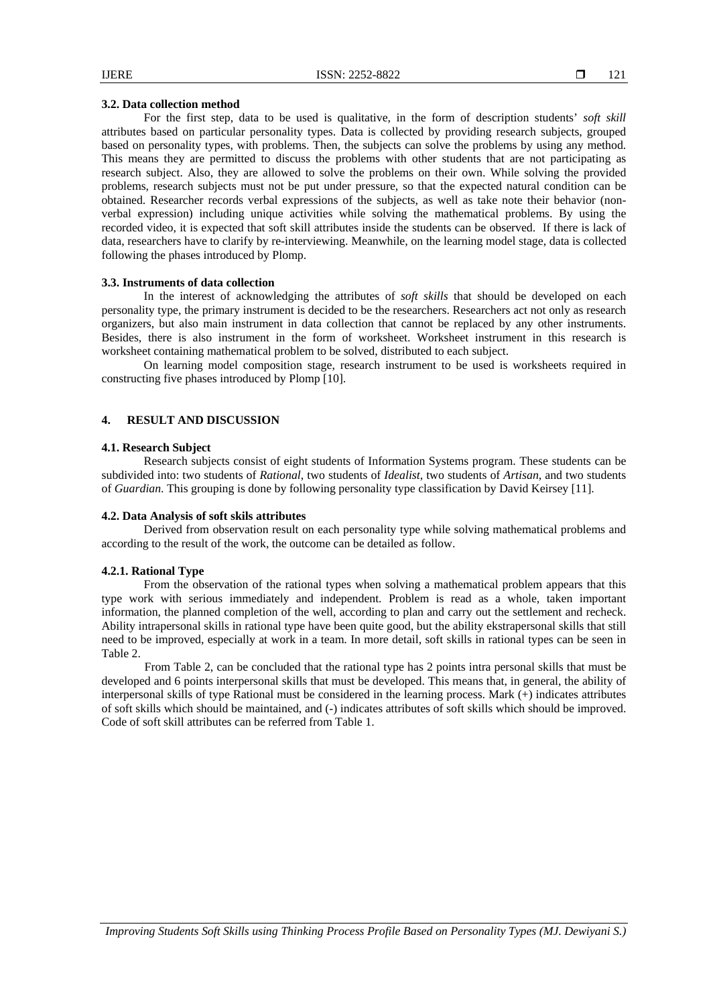#### **3.2. Data collection method**

For the first step, data to be used is qualitative, in the form of description students' *soft skill* attributes based on particular personality types. Data is collected by providing research subjects, grouped based on personality types, with problems. Then, the subjects can solve the problems by using any method. This means they are permitted to discuss the problems with other students that are not participating as research subject. Also, they are allowed to solve the problems on their own. While solving the provided problems, research subjects must not be put under pressure, so that the expected natural condition can be obtained. Researcher records verbal expressions of the subjects, as well as take note their behavior (nonverbal expression) including unique activities while solving the mathematical problems. By using the recorded video, it is expected that soft skill attributes inside the students can be observed. If there is lack of data, researchers have to clarify by re-interviewing. Meanwhile, on the learning model stage, data is collected following the phases introduced by Plomp.

# **3.3. Instruments of data collection**

In the interest of acknowledging the attributes of *soft skills* that should be developed on each personality type, the primary instrument is decided to be the researchers. Researchers act not only as research organizers, but also main instrument in data collection that cannot be replaced by any other instruments. Besides, there is also instrument in the form of worksheet. Worksheet instrument in this research is worksheet containing mathematical problem to be solved, distributed to each subject.

On learning model composition stage, research instrument to be used is worksheets required in constructing five phases introduced by Plomp [10].

# **4. RESULT AND DISCUSSION**

#### **4.1. Research Subject**

Research subjects consist of eight students of Information Systems program. These students can be subdivided into: two students of *Rational*, two students of *Idealist*, two students of *Artisan*, and two students of *Guardian*. This grouping is done by following personality type classification by David Keirsey [11].

#### **4.2. Data Analysis of soft skils attributes**

Derived from observation result on each personality type while solving mathematical problems and according to the result of the work, the outcome can be detailed as follow.

#### **4.2.1. Rational Type**

From the observation of the rational types when solving a mathematical problem appears that this type work with serious immediately and independent. Problem is read as a whole, taken important information, the planned completion of the well, according to plan and carry out the settlement and recheck. Ability intrapersonal skills in rational type have been quite good, but the ability ekstrapersonal skills that still need to be improved, especially at work in a team. In more detail, soft skills in rational types can be seen in Table 2.

From Table 2, can be concluded that the rational type has 2 points intra personal skills that must be developed and 6 points interpersonal skills that must be developed. This means that, in general, the ability of interpersonal skills of type Rational must be considered in the learning process. Mark (+) indicates attributes of soft skills which should be maintained, and (-) indicates attributes of soft skills which should be improved. Code of soft skill attributes can be referred from Table 1.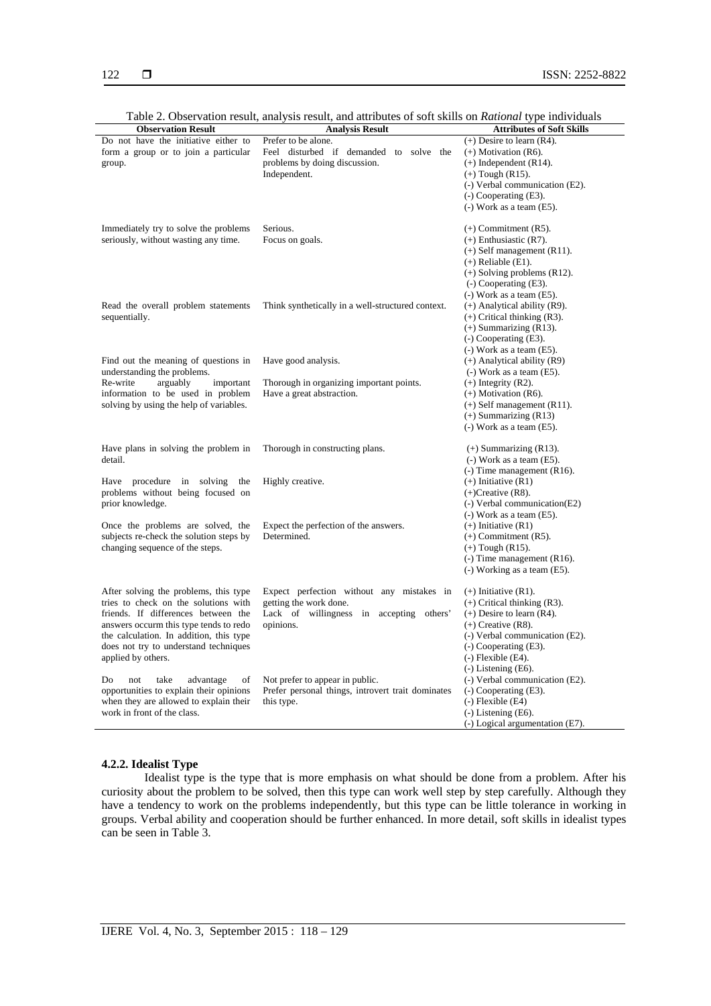| <b>Observation Result</b>               | <b>Analysis Result</b>                            | <b>Attributes of Soft Skills</b>                    |
|-----------------------------------------|---------------------------------------------------|-----------------------------------------------------|
| Do not have the initiative either to    | Prefer to be alone.                               | $(+)$ Desire to learn (R4).                         |
| form a group or to join a particular    | Feel disturbed if demanded to solve the           | $(+)$ Motivation (R6).                              |
| group.                                  | problems by doing discussion.                     | $(+)$ Independent (R14).                            |
|                                         | Independent.                                      | $(+)$ Tough (R15).                                  |
|                                         |                                                   | (-) Verbal communication (E2).                      |
|                                         |                                                   | $(-)$ Cooperating $(E3)$ .                          |
|                                         |                                                   | $(-)$ Work as a team $(E5)$ .                       |
|                                         |                                                   |                                                     |
| Immediately try to solve the problems   | Serious.                                          | $(+)$ Commitment $(R5)$ .                           |
| seriously, without wasting any time.    | Focus on goals.                                   | $(+)$ Enthusiastic $(R7)$ .                         |
|                                         |                                                   | $(+)$ Self management (R11).                        |
|                                         |                                                   | $(+)$ Reliable $(E1)$ .                             |
|                                         |                                                   | $(+)$ Solving problems (R12).                       |
|                                         |                                                   | $(-)$ Cooperating $(E3)$ .                          |
|                                         |                                                   | $(-)$ Work as a team $(E5)$ .                       |
| Read the overall problem statements     | Think synthetically in a well-structured context. | $(+)$ Analytical ability (R9).                      |
| sequentially.                           |                                                   | $(+)$ Critical thinking $(R3)$ .                    |
|                                         |                                                   | $(+)$ Summarizing $(R13)$ .                         |
|                                         |                                                   | $(-)$ Cooperating $(E3)$ .                          |
|                                         |                                                   | $(-)$ Work as a team $(E5)$ .                       |
| Find out the meaning of questions in    | Have good analysis.                               | $(+)$ Analytical ability (R9)                       |
| understanding the problems.             |                                                   | $(-)$ Work as a team $(E5)$ .                       |
| arguably<br>Re-write<br>important       | Thorough in organizing important points.          | $(+)$ Integrity (R2).                               |
| information to be used in problem       | Have a great abstraction.                         | $(+)$ Motivation (R6).                              |
| solving by using the help of variables. |                                                   | $(+)$ Self management $(R11)$ .                     |
|                                         |                                                   | $(+)$ Summarizing $(R13)$                           |
|                                         |                                                   | $(-)$ Work as a team $(E5)$ .                       |
|                                         |                                                   |                                                     |
| Have plans in solving the problem in    | Thorough in constructing plans.                   | $(+)$ Summarizing $(R13)$ .                         |
| detail.                                 |                                                   | $(-)$ Work as a team $(E5)$ .                       |
|                                         |                                                   | $(-)$ Time management (R16).                        |
| Have procedure in<br>solving<br>the     | Highly creative.                                  | $(+)$ Initiative $(R1)$                             |
| problems without being focused on       |                                                   | $(+)$ Creative (R8).                                |
| prior knowledge.                        |                                                   | (-) Verbal communication(E2)                        |
|                                         |                                                   | $(-)$ Work as a team $(E5)$ .                       |
| Once the problems are solved, the       | Expect the perfection of the answers.             | $(+)$ Initiative $(R1)$                             |
| subjects re-check the solution steps by | Determined.                                       | $(+)$ Commitment $(R5)$ .                           |
| changing sequence of the steps.         |                                                   | $(+)$ Tough $(R15)$ .                               |
|                                         |                                                   | $(-)$ Time management (R16).                        |
|                                         |                                                   | $(-)$ Working as a team $(E5)$ .                    |
| After solving the problems, this type   | Expect perfection without any mistakes in         | $(+)$ Initiative $(R1)$ .                           |
| tries to check on the solutions with    | getting the work done.                            | $(+)$ Critical thinking $(R3)$ .                    |
| friends. If differences between the     | Lack of willingness in accepting<br>others'       | $(+)$ Desire to learn $(R4)$ .                      |
| answers occurm this type tends to redo  | opinions.                                         | $(+)$ Creative (R8).                                |
| the calculation. In addition, this type |                                                   | (-) Verbal communication (E2).                      |
| does not try to understand techniques   |                                                   | $(-)$ Cooperating $(E3)$ .                          |
|                                         |                                                   |                                                     |
| applied by others.                      |                                                   | $(-)$ Flexible $(E4)$ .<br>$(-)$ Listening $(E6)$ . |
| take<br>advantage<br>Do<br>not<br>of    | Not prefer to appear in public.                   | (-) Verbal communication (E2).                      |
| opportunities to explain their opinions | Prefer personal things, introvert trait dominates | $(-)$ Cooperating $(E3)$ .                          |
| when they are allowed to explain their  | this type.                                        | $(-)$ Flexible $(E4)$                               |
| work in front of the class.             |                                                   | $(-)$ Listening $(E6)$ .                            |
|                                         |                                                   | $(-)$ Logical argumentation $(E7)$ .                |
|                                         |                                                   |                                                     |

Table 2. Observation result, analysis result, and attributes of soft skills on *Rational* type individuals

### **4.2.2. Idealist Type**

Idealist type is the type that is more emphasis on what should be done from a problem. After his curiosity about the problem to be solved, then this type can work well step by step carefully. Although they have a tendency to work on the problems independently, but this type can be little tolerance in working in groups. Verbal ability and cooperation should be further enhanced. In more detail, soft skills in idealist types can be seen in Table 3.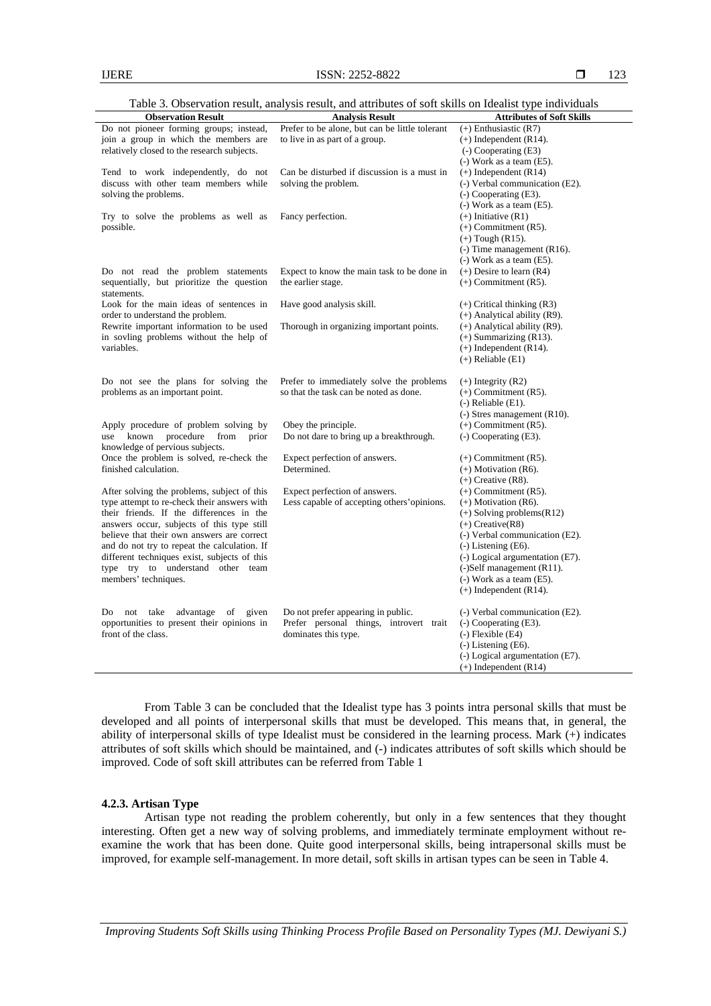| Table 3. Observation result, analysis result, and attributes of soft skills on Idealist type individuals |  |  |  |  |  |  |  |  |  |
|----------------------------------------------------------------------------------------------------------|--|--|--|--|--|--|--|--|--|
|                                                                                                          |  |  |  |  |  |  |  |  |  |

| <b>Observation Result</b>                                                                                                                                                                                                                                                                                                                                                                       | <b>Analysis Result</b>                                                                                | <b>Attributes of Soft Skills</b>                                                                                                                                                                                                                                                                    |
|-------------------------------------------------------------------------------------------------------------------------------------------------------------------------------------------------------------------------------------------------------------------------------------------------------------------------------------------------------------------------------------------------|-------------------------------------------------------------------------------------------------------|-----------------------------------------------------------------------------------------------------------------------------------------------------------------------------------------------------------------------------------------------------------------------------------------------------|
| Do not pioneer forming groups; instead,<br>join a group in which the members are<br>relatively closed to the research subjects.                                                                                                                                                                                                                                                                 | Prefer to be alone, but can be little tolerant<br>to live in as part of a group.                      | $(+)$ Enthusiastic $(R7)$<br>$(+)$ Independent $(R14)$ .<br>$(-)$ Cooperating $(E3)$<br>$(-)$ Work as a team $(E5)$ .                                                                                                                                                                               |
| Tend to work independently, do not<br>discuss with other team members while<br>solving the problems.                                                                                                                                                                                                                                                                                            | Can be disturbed if discussion is a must in<br>solving the problem.                                   | $(+)$ Independent $(R14)$<br>(-) Verbal communication (E2).<br>$(-)$ Cooperating $(E3)$ .                                                                                                                                                                                                           |
| Try to solve the problems as well as<br>possible.                                                                                                                                                                                                                                                                                                                                               | Fancy perfection.                                                                                     | (-) Work as a team (E5).<br>$(+)$ Initiative $(R1)$<br>$(+)$ Commitment $(R5)$ .<br>$(+)$ Tough (R15).<br>$(-)$ Time management (R16).<br>$(-)$ Work as a team $(E5)$ .                                                                                                                             |
| Do not read the problem statements<br>sequentially, but prioritize the question<br>statements.                                                                                                                                                                                                                                                                                                  | Expect to know the main task to be done in<br>the earlier stage.                                      | $(+)$ Desire to learn $(R4)$<br>$(+)$ Commitment $(R5)$ .                                                                                                                                                                                                                                           |
| Look for the main ideas of sentences in<br>order to understand the problem.                                                                                                                                                                                                                                                                                                                     | Have good analysis skill.                                                                             | $(+)$ Critical thinking $(R3)$<br>$(+)$ Analytical ability (R9).                                                                                                                                                                                                                                    |
| Rewrite important information to be used<br>in sovling problems without the help of<br>variables.                                                                                                                                                                                                                                                                                               | Thorough in organizing important points.                                                              | $(+)$ Analytical ability (R9).<br>$(+)$ Summarizing $(R13)$ .<br>$(+)$ Independent (R14).<br>$(+)$ Reliable $(E1)$                                                                                                                                                                                  |
| Do not see the plans for solving the<br>problems as an important point.                                                                                                                                                                                                                                                                                                                         | Prefer to immediately solve the problems<br>so that the task can be noted as done.                    | $(+)$ Integrity $(R2)$<br>$(+)$ Commitment $(R5)$ .<br>$(-)$ Reliable $(E1)$ .<br>$(-)$ Stres management (R10).                                                                                                                                                                                     |
| Apply procedure of problem solving by<br>known<br>procedure<br>from<br>prior<br>use<br>knowledge of pervious subjects.                                                                                                                                                                                                                                                                          | Obey the principle.<br>Do not dare to bring up a breakthrough.                                        | $(+)$ Commitment $(R5)$ .<br>(-) Cooperating (E3).                                                                                                                                                                                                                                                  |
| Once the problem is solved, re-check the<br>finished calculation.                                                                                                                                                                                                                                                                                                                               | Expect perfection of answers.<br>Determined.                                                          | $(+)$ Commitment $(R5)$ .<br>$(+)$ Motivation (R6).<br>$(+)$ Creative (R8).                                                                                                                                                                                                                         |
| After solving the problems, subject of this<br>type attempt to re-check their answers with<br>their friends. If the differences in the<br>answers occur, subjects of this type still<br>believe that their own answers are correct<br>and do not try to repeat the calculation. If<br>different techniques exist, subjects of this<br>type try to understand other team<br>members' techniques. | Expect perfection of answers.<br>Less capable of accepting others'opinions.                           | $(+)$ Commitment $(R5)$ .<br>$(+)$ Motivation (R6).<br>$(+)$ Solving problems(R12)<br>$(+)$ Creative(R8)<br>(-) Verbal communication (E2).<br>$(-)$ Listening $(E6)$ .<br>(-) Logical argumentation (E7).<br>(-)Self management (R11).<br>$(-)$ Work as a team $(E5)$ .<br>$(+)$ Independent (R14). |
| not take<br>advantage<br>Do<br>of<br>given<br>opportunities to present their opinions in<br>front of the class.                                                                                                                                                                                                                                                                                 | Do not prefer appearing in public.<br>Prefer personal things, introvert trait<br>dominates this type. | (-) Verbal communication (E2).<br>$(-)$ Cooperating $(E3)$ .<br>$(-)$ Flexible $(E4)$<br>$(-)$ Listening $(E6)$ .<br>(-) Logical argumentation (E7).<br>$(+)$ Independent (R14)                                                                                                                     |

From Table 3 can be concluded that the Idealist type has 3 points intra personal skills that must be developed and all points of interpersonal skills that must be developed. This means that, in general, the ability of interpersonal skills of type Idealist must be considered in the learning process. Mark (+) indicates attributes of soft skills which should be maintained, and (-) indicates attributes of soft skills which should be improved. Code of soft skill attributes can be referred from Table 1

# **4.2.3. Artisan Type**

Artisan type not reading the problem coherently, but only in a few sentences that they thought interesting. Often get a new way of solving problems, and immediately terminate employment without reexamine the work that has been done. Quite good interpersonal skills, being intrapersonal skills must be improved, for example self-management. In more detail, soft skills in artisan types can be seen in Table 4.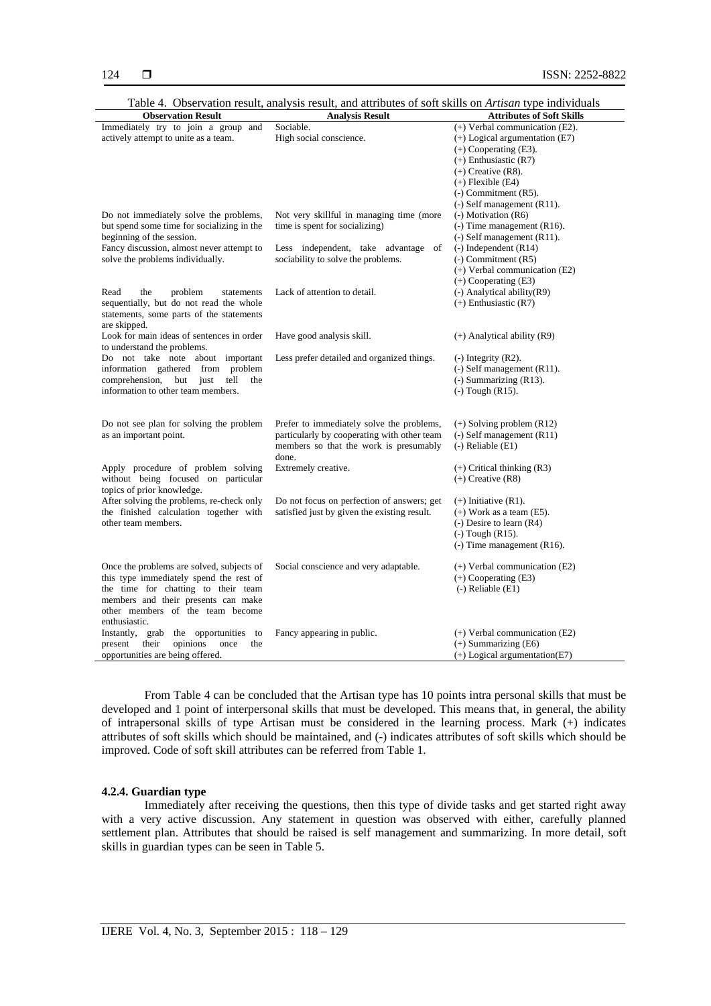| <b>Observation Result</b>                    | <b>Analysis Result</b>                       | <b>Attributes of Soft Skills</b>   |
|----------------------------------------------|----------------------------------------------|------------------------------------|
| Immediately try to join a group and          | Sociable.                                    | $(+)$ Verbal communication (E2).   |
| actively attempt to unite as a team.         | High social conscience.                      | $(+)$ Logical argumentation $(E7)$ |
|                                              |                                              | $(+)$ Cooperating $(E3)$ .         |
|                                              |                                              | $(+)$ Enthusiastic $(R7)$          |
|                                              |                                              | $(+)$ Creative (R8).               |
|                                              |                                              | $(+)$ Flexible $(E4)$              |
|                                              |                                              | $(-)$ Commitment $(R5)$ .          |
|                                              |                                              | $(-)$ Self management (R11).       |
| Do not immediately solve the problems,       | Not very skillful in managing time (more     | (-) Motivation (R6)                |
| but spend some time for socializing in the   | time is spent for socializing)               | $(-)$ Time management (R16).       |
| beginning of the session.                    |                                              | $(-)$ Self management $(R11)$ .    |
| Fancy discussion, almost never attempt to    | Less independent, take advantage<br>of       | $(-)$ Independent (R14)            |
| solve the problems individually.             | sociability to solve the problems.           | $(-)$ Commitment $(R5)$            |
|                                              |                                              | $(+)$ Verbal communication (E2)    |
|                                              |                                              | $(+)$ Cooperating $(E3)$           |
| Read<br>the<br>problem<br>statements         | Lack of attention to detail.                 | (-) Analytical ability(R9)         |
| sequentially, but do not read the whole      |                                              | $(+)$ Enthusiastic $(R7)$          |
| statements, some parts of the statements     |                                              |                                    |
|                                              |                                              |                                    |
| are skipped.                                 |                                              |                                    |
| Look for main ideas of sentences in order    | Have good analysis skill.                    | $(+)$ Analytical ability (R9)      |
| to understand the problems.                  |                                              |                                    |
| Do not take note about important             | Less prefer detailed and organized things.   | $(-)$ Integrity $(R2)$ .           |
| information gathered from problem            |                                              | $(-)$ Self management (R11).       |
| comprehension,<br>but<br>just<br>tell<br>the |                                              | $(-)$ Summarizing $(R13)$ .        |
| information to other team members.           |                                              | $(-)$ Tough $(R15)$ .              |
|                                              |                                              |                                    |
|                                              |                                              |                                    |
| Do not see plan for solving the problem      | Prefer to immediately solve the problems,    | $(+)$ Solving problem $(R12)$      |
| as an important point.                       | particularly by cooperating with other team  | $(-)$ Self management $(R11)$      |
|                                              | members so that the work is presumably       | $(-)$ Reliable $(E1)$              |
|                                              | done.                                        |                                    |
| Apply procedure of problem solving           | Extremely creative.                          | $(+)$ Critical thinking $(R3)$     |
| without being focused on particular          |                                              | $(+)$ Creative $(R8)$              |
| topics of prior knowledge.                   |                                              |                                    |
| After solving the problems, re-check only    | Do not focus on perfection of answers; get   | $(+)$ Initiative $(R1)$ .          |
| the finished calculation together with       | satisfied just by given the existing result. | $(+)$ Work as a team $(E5)$ .      |
| other team members.                          |                                              | $(-)$ Desire to learn $(R4)$       |
|                                              |                                              | $(-)$ Tough $(R15)$ .              |
|                                              |                                              | $(-)$ Time management (R16).       |
|                                              |                                              |                                    |
| Once the problems are solved, subjects of    | Social conscience and very adaptable.        | $(+)$ Verbal communication $(E2)$  |
| this type immediately spend the rest of      |                                              | $(+)$ Cooperating $(E3)$           |
| the time for chatting to their team          |                                              | $(-)$ Reliable $(E1)$              |
| members and their presents can make          |                                              |                                    |
| other members of the team become             |                                              |                                    |
| enthusiastic.                                |                                              |                                    |
| Instantly, grab<br>the opportunities<br>to   | Fancy appearing in public.                   | (+) Verbal communication (E2)      |
| opinions<br>present<br>their<br>once<br>the  |                                              | $(+)$ Summarizing $(E6)$           |
| opportunities are being offered.             |                                              | $(+)$ Logical argumentation(E7)    |

Table 4. Observation result, analysis result, and attributes of soft skills on *Artisan* type individuals

From Table 4 can be concluded that the Artisan type has 10 points intra personal skills that must be developed and 1 point of interpersonal skills that must be developed. This means that, in general, the ability of intrapersonal skills of type Artisan must be considered in the learning process. Mark (+) indicates attributes of soft skills which should be maintained, and (-) indicates attributes of soft skills which should be improved. Code of soft skill attributes can be referred from Table 1.

#### **4.2.4. Guardian type**

Immediately after receiving the questions, then this type of divide tasks and get started right away with a very active discussion. Any statement in question was observed with either, carefully planned settlement plan. Attributes that should be raised is self management and summarizing. In more detail, soft skills in guardian types can be seen in Table 5.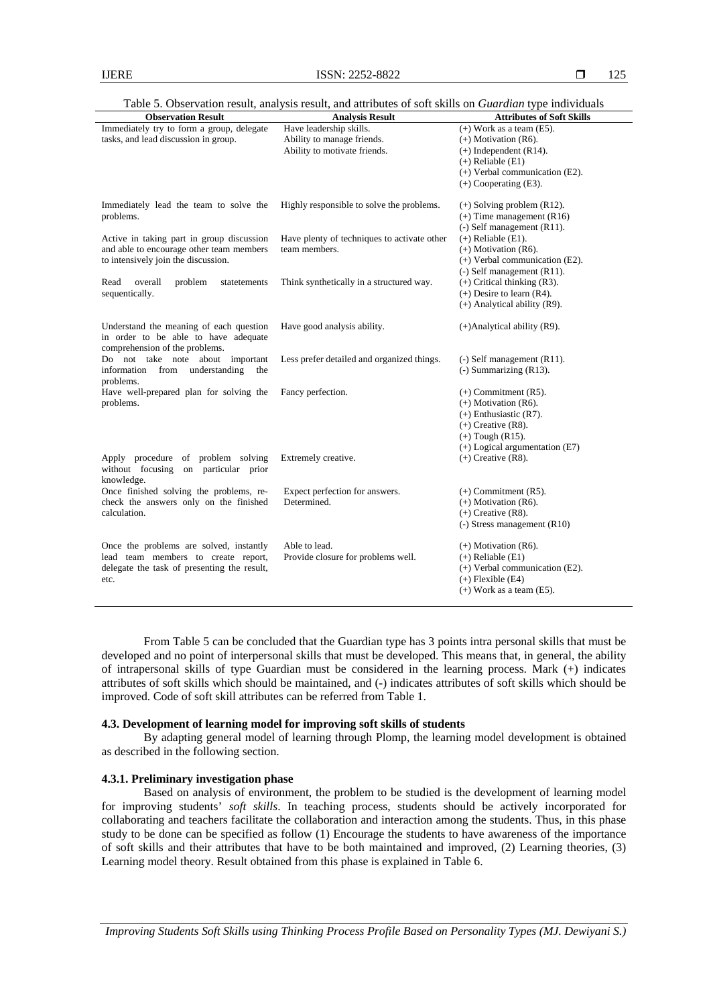| <b>Observation Result</b>                                                                                         | <b>Analysis Result</b>                      | <b>Attributes of Soft Skills</b>                               |
|-------------------------------------------------------------------------------------------------------------------|---------------------------------------------|----------------------------------------------------------------|
| Immediately try to form a group, delegate                                                                         | Have leadership skills.                     | $(+)$ Work as a team $(E5)$ .                                  |
| tasks, and lead discussion in group.                                                                              | Ability to manage friends.                  | $(+)$ Motivation (R6).                                         |
|                                                                                                                   | Ability to motivate friends.                | $(+)$ Independent (R14).                                       |
|                                                                                                                   |                                             | $(+)$ Reliable $(E1)$                                          |
|                                                                                                                   |                                             | $(+)$ Verbal communication (E2).                               |
|                                                                                                                   |                                             | $(+)$ Cooperating $(E3)$ .                                     |
| Immediately lead the team to solve the                                                                            | Highly responsible to solve the problems.   | $(+)$ Solving problem (R12).                                   |
| problems.                                                                                                         |                                             | $(+)$ Time management (R16)                                    |
|                                                                                                                   |                                             | $(-)$ Self management (R11).                                   |
| Active in taking part in group discussion                                                                         | Have plenty of techniques to activate other | $(+)$ Reliable $(E1)$ .                                        |
| and able to encourage other team members                                                                          | team members.                               | $(+)$ Motivation (R6).                                         |
| to intensively join the discussion.                                                                               |                                             | $(+)$ Verbal communication (E2).                               |
|                                                                                                                   |                                             | $(-)$ Self management (R11).                                   |
| Read<br>overall<br>problem<br>statetements                                                                        | Think synthetically in a structured way.    | $(+)$ Critical thinking $(R3)$ .                               |
| sequentically.                                                                                                    |                                             | $(+)$ Desire to learn $(R4)$ .                                 |
|                                                                                                                   |                                             | $(+)$ Analytical ability (R9).                                 |
| Understand the meaning of each question<br>in order to be able to have adequate<br>comprehension of the problems. | Have good analysis ability.                 | $(+)$ Analytical ability (R9).                                 |
| Do not take note about important<br>from<br>understanding<br>information<br>the<br>problems.                      | Less prefer detailed and organized things.  | $(-)$ Self management $(R11)$ .<br>$(-)$ Summarizing $(R13)$ . |
| Have well-prepared plan for solving the                                                                           | Fancy perfection.                           | $(+)$ Commitment $(R5)$ .                                      |
| problems.                                                                                                         |                                             | $(+)$ Motivation (R6).                                         |
|                                                                                                                   |                                             | $(+)$ Enthusiastic $(R7)$ .                                    |
|                                                                                                                   |                                             | $(+)$ Creative (R8).                                           |
|                                                                                                                   |                                             | $(+)$ Tough $(R15)$ .                                          |
|                                                                                                                   |                                             | $(+)$ Logical argumentation $(E7)$                             |
| Apply procedure of problem solving<br>without focusing<br>on particular prior                                     | Extremely creative.                         | $(+)$ Creative (R8).                                           |
| knowledge.                                                                                                        |                                             |                                                                |
| Once finished solving the problems, re-                                                                           | Expect perfection for answers.              | $(+)$ Commitment $(R5)$ .                                      |
| check the answers only on the finished                                                                            | Determined.                                 | $(+)$ Motivation (R6).                                         |
| calculation.                                                                                                      |                                             | $(+)$ Creative (R8).                                           |
|                                                                                                                   |                                             | $(-)$ Stress management $(R10)$                                |
| Once the problems are solved, instantly                                                                           | Able to lead.                               | $(+)$ Motivation (R6).                                         |
| lead team members to create report,                                                                               | Provide closure for problems well.          | $(+)$ Reliable $(E1)$                                          |
| delegate the task of presenting the result,                                                                       |                                             | $(+)$ Verbal communication (E2).                               |
| etc.                                                                                                              |                                             | $(+)$ Flexible $(E4)$                                          |
|                                                                                                                   |                                             | $(+)$ Work as a team $(E5)$ .                                  |

Table 5. Observation result, analysis result, and attributes of soft skills on *Guardian* type individuals

From Table 5 can be concluded that the Guardian type has 3 points intra personal skills that must be developed and no point of interpersonal skills that must be developed. This means that, in general, the ability of intrapersonal skills of type Guardian must be considered in the learning process. Mark (+) indicates attributes of soft skills which should be maintained, and (-) indicates attributes of soft skills which should be improved. Code of soft skill attributes can be referred from Table 1.

### **4.3. Development of learning model for improving soft skills of students**

By adapting general model of learning through Plomp, the learning model development is obtained as described in the following section.

### **4.3.1. Preliminary investigation phase**

Based on analysis of environment, the problem to be studied is the development of learning model for improving students' *soft skills*. In teaching process, students should be actively incorporated for collaborating and teachers facilitate the collaboration and interaction among the students. Thus, in this phase study to be done can be specified as follow (1) Encourage the students to have awareness of the importance of soft skills and their attributes that have to be both maintained and improved, (2) Learning theories, (3) Learning model theory. Result obtained from this phase is explained in Table 6.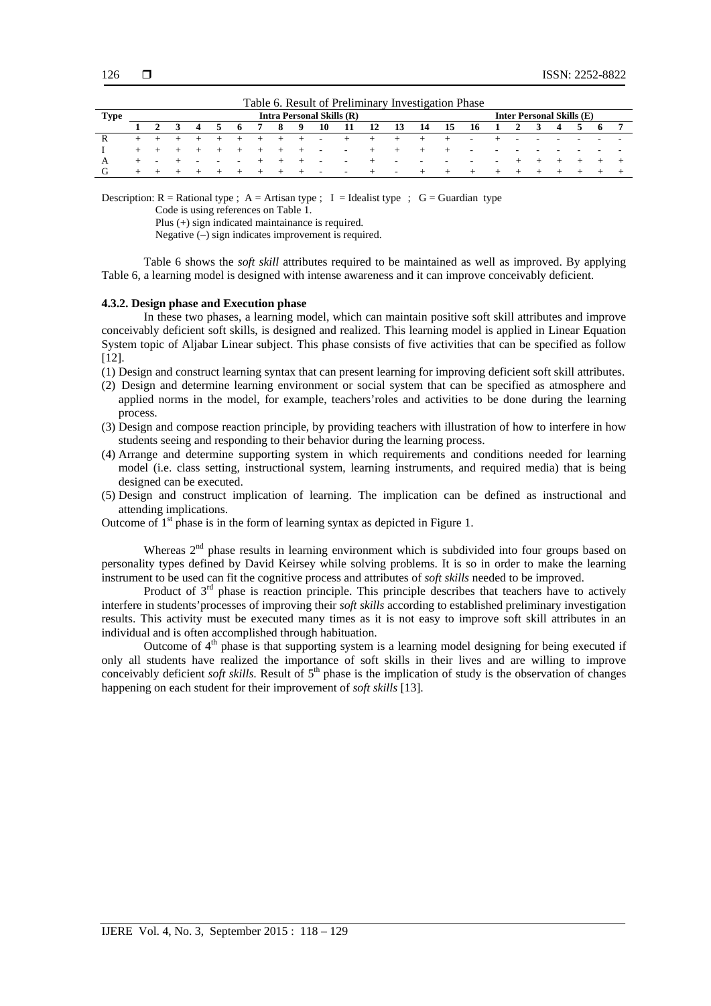|      | Table 0. Kesult of TTemminary Investigation I hase                   |                          |  |                          |        |       |         |         |                          |                   |                    |           |                 |                        |            |                          |                          |                          |     |                          |  |  |
|------|----------------------------------------------------------------------|--------------------------|--|--------------------------|--------|-------|---------|---------|--------------------------|-------------------|--------------------|-----------|-----------------|------------------------|------------|--------------------------|--------------------------|--------------------------|-----|--------------------------|--|--|
| Type | <b>Inter Personal Skills (E)</b><br><b>Intra Personal Skills (R)</b> |                          |  |                          |        |       |         |         |                          |                   |                    |           |                 |                        |            |                          |                          |                          |     |                          |  |  |
|      |                                                                      |                          |  | 4                        |        | 56    |         | - 8     | $\overline{\phantom{a}}$ | - 10              | - 11               | <b>12</b> | <b>13</b>       | 14 15 16 1 2 3 4 5 6 7 |            |                          |                          |                          |     |                          |  |  |
| R    | $+$ $-$                                                              |                          |  |                          |        |       | $+$ $+$ |         | $+ - -$                  |                   | $+$ $+$            |           | $+$ $+$         |                        |            | <b>Contract Contract</b> |                          | $\overline{\phantom{0}}$ |     | $\overline{\phantom{0}}$ |  |  |
|      |                                                                      | $+$ $+$                  |  | $+$ $+$ $+$ $+$ $+$      |        |       |         |         | $+$                      | $\sim$ $-$        | <b>Service</b>     | $+$       | $ +$ $ +$       | $+$ $+$                |            | $\sim$                   | $\overline{\phantom{a}}$ |                          |     | $\overline{\phantom{a}}$ |  |  |
|      | $+$                                                                  | $\overline{\phantom{0}}$ |  | $\overline{\phantom{0}}$ | $\sim$ | $  +$ |         | $+$ $-$ | $+$                      | $\sim$            | <b>State State</b> | $+$       | $\sim$          | $\sim$                 | $\sim$ $-$ | н.                       | $\sim$                   |                          |     | $+$                      |  |  |
| G    | $+$                                                                  | $\pm$                    |  | + + + + +                |        |       |         |         | $+$                      | <b>Contractor</b> | <b>Service</b>     | $+$       | and the company | $+$ $+$                |            | $+$                      | $+$ $+$                  |                          | $+$ | $+$                      |  |  |

Table 6. Result of Preliminary Investigation Phase

Description:  $R =$  Rational type ;  $A =$  Artisan type ; I = Idealist type ; G = Guardian type

Code is using references on Table 1.

Plus (+) sign indicated maintainance is required.

Negative (–) sign indicates improvement is required.

Table 6 shows the *soft skill* attributes required to be maintained as well as improved. By applying Table 6, a learning model is designed with intense awareness and it can improve conceivably deficient.

#### **4.3.2. Design phase and Execution phase**

In these two phases, a learning model, which can maintain positive soft skill attributes and improve conceivably deficient soft skills, is designed and realized. This learning model is applied in Linear Equation System topic of Aljabar Linear subject. This phase consists of five activities that can be specified as follow [12].

- (1) Design and construct learning syntax that can present learning for improving deficient soft skill attributes.
- (2) Design and determine learning environment or social system that can be specified as atmosphere and applied norms in the model, for example, teachers'roles and activities to be done during the learning process.
- (3) Design and compose reaction principle, by providing teachers with illustration of how to interfere in how students seeing and responding to their behavior during the learning process.
- (4) Arrange and determine supporting system in which requirements and conditions needed for learning model (i.e. class setting, instructional system, learning instruments, and required media) that is being designed can be executed.
- (5) Design and construct implication of learning. The implication can be defined as instructional and attending implications.

Outcome of  $1<sup>st</sup>$  phase is in the form of learning syntax as depicted in Figure 1.

Whereas  $2<sup>nd</sup>$  phase results in learning environment which is subdivided into four groups based on personality types defined by David Keirsey while solving problems. It is so in order to make the learning instrument to be used can fit the cognitive process and attributes of *soft skills* needed to be improved.

Product of 3<sup>rd</sup> phase is reaction principle. This principle describes that teachers have to actively interfere in students'processes of improving their *soft skills* according to established preliminary investigation results. This activity must be executed many times as it is not easy to improve soft skill attributes in an individual and is often accomplished through habituation.

Outcome of  $4<sup>th</sup>$  phase is that supporting system is a learning model designing for being executed if only all students have realized the importance of soft skills in their lives and are willing to improve conceivably deficient *soft skills*. Result of 5<sup>th</sup> phase is the implication of study is the observation of changes happening on each student for their improvement of *soft skills* [13].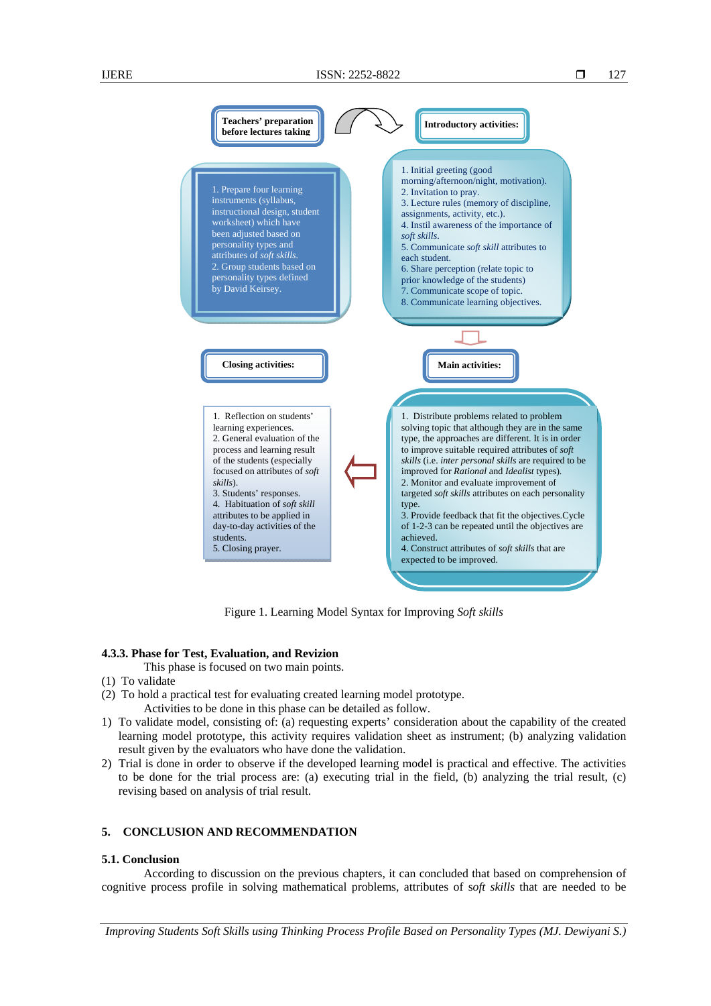

Figure 1. Learning Model Syntax for Improving *Soft skills*

# **4.3.3. Phase for Test, Evaluation, and Revizion**

- This phase is focused on two main points.
- (1) To validate
- (2) To hold a practical test for evaluating created learning model prototype. Activities to be done in this phase can be detailed as follow.
- 1) To validate model, consisting of: (a) requesting experts' consideration about the capability of the created learning model prototype, this activity requires validation sheet as instrument; (b) analyzing validation result given by the evaluators who have done the validation.
- 2) Trial is done in order to observe if the developed learning model is practical and effective. The activities to be done for the trial process are: (a) executing trial in the field, (b) analyzing the trial result, (c) revising based on analysis of trial result.

# **5. CONCLUSION AND RECOMMENDATION**

#### **5.1. Conclusion**

According to discussion on the previous chapters, it can concluded that based on comprehension of cognitive process profile in solving mathematical problems, attributes of s*oft skills* that are needed to be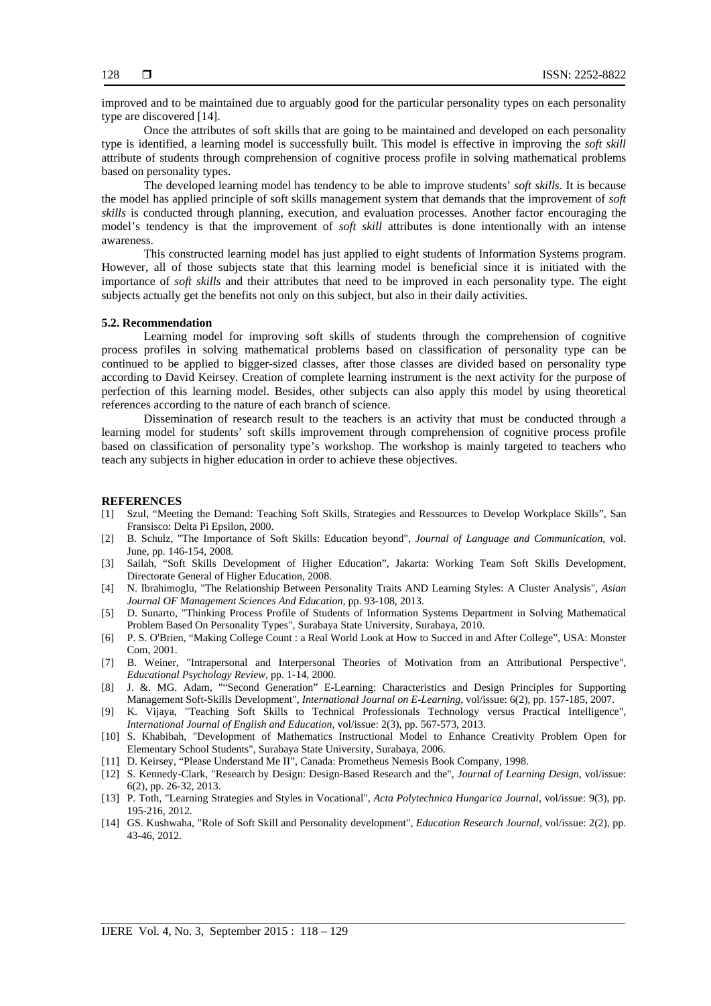improved and to be maintained due to arguably good for the particular personality types on each personality type are discovered [14].

Once the attributes of soft skills that are going to be maintained and developed on each personality type is identified, a learning model is successfully built. This model is effective in improving the *soft skill* attribute of students through comprehension of cognitive process profile in solving mathematical problems based on personality types.

The developed learning model has tendency to be able to improve students' *soft skills*. It is because the model has applied principle of soft skills management system that demands that the improvement of *soft skills* is conducted through planning, execution, and evaluation processes. Another factor encouraging the model's tendency is that the improvement of *soft skill* attributes is done intentionally with an intense awareness.

This constructed learning model has just applied to eight students of Information Systems program. However, all of those subjects state that this learning model is beneficial since it is initiated with the importance of *soft skills* and their attributes that need to be improved in each personality type. The eight subjects actually get the benefits not only on this subject, but also in their daily activities.

#### **5.2. Recommendation**

Learning model for improving soft skills of students through the comprehension of cognitive process profiles in solving mathematical problems based on classification of personality type can be continued to be applied to bigger-sized classes, after those classes are divided based on personality type according to David Keirsey. Creation of complete learning instrument is the next activity for the purpose of perfection of this learning model. Besides, other subjects can also apply this model by using theoretical references according to the nature of each branch of science.

Dissemination of research result to the teachers is an activity that must be conducted through a learning model for students' soft skills improvement through comprehension of cognitive process profile based on classification of personality type's workshop. The workshop is mainly targeted to teachers who teach any subjects in higher education in order to achieve these objectives.

# **REFERENCES**

- [1] Szul, "Meeting the Demand: Teaching Soft Skills, Strategies and Ressources to Develop Workplace Skills", San Fransisco: Delta Pi Epsilon, 2000.
- [2] B. Schulz, "The Importance of Soft Skills: Education beyond", *Journal of Language and Communication,* vol. June, pp. 146-154, 2008.
- [3] Sailah, "Soft Skills Development of Higher Education", Jakarta: Working Team Soft Skills Development, Directorate General of Higher Education, 2008.
- [4] N. Ibrahimoglu, "The Relationship Between Personality Traits AND Learning Styles: A Cluster Analysis", *Asian Journal OF Management Sciences And Education,* pp. 93-108, 2013.
- [5] D. Sunarto, "Thinking Process Profile of Students of Information Systems Department in Solving Mathematical Problem Based On Personality Types", Surabaya State University, Surabaya, 2010.
- [6] P. S. O'Brien, "Making College Count : a Real World Look at How to Succed in and After College", USA: Monster Com, 2001.
- [7] B. Weiner, "Intrapersonal and Interpersonal Theories of Motivation from an Attributional Perspective", *Educational Psychology Review,* pp. 1-14, 2000.
- [8] J. &. MG. Adam, ""Second Generation" E-Learning: Characteristics and Design Principles for Supporting Management Soft-Skills Development", *International Journal on E-Learning,* vol/issue: 6(2), pp. 157-185, 2007.
- [9] K. Vijaya, "Teaching Soft Skills to Technical Professionals Technology versus Practical Intelligence", *International Journal of English and Education,* vol/issue: 2(3), pp. 567-573, 2013.
- [10] S. Khabibah, "Development of Mathematics Instructional Model to Enhance Creativity Problem Open for Elementary School Students", Surabaya State University, Surabaya, 2006.
- [11] D. Keirsey, "Please Understand Me II", Canada: Prometheus Nemesis Book Company, 1998.
- [12] S. Kennedy-Clark, "Research by Design: Design-Based Research and the", *Journal of Learning Design,* vol/issue: 6(2), pp. 26-32, 2013.
- [13] P. Toth, "Learning Strategies and Styles in Vocational", *Acta Polytechnica Hungarica Journal,* vol/issue: 9(3), pp. 195-216, 2012.
- [14] GS. Kushwaha, "Role of Soft Skill and Personality development", *Education Research Journal,* vol/issue: 2(2), pp. 43-46, 2012.